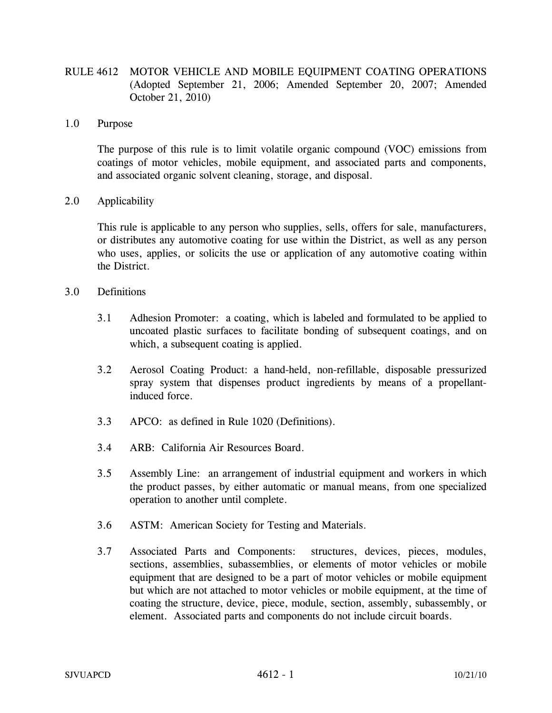- RULE 4612 MOTOR VEHICLE AND MOBILE EQUIPMENT COATING OPERATIONS (Adopted September 21, 2006; Amended September 20, 2007; Amended October 21, 2010)
- 1.0 Purpose

The purpose of this rule is to limit volatile organic compound (VOC) emissions from coatings of motor vehicles, mobile equipment, and associated parts and components, and associated organic solvent cleaning, storage, and disposal.

2.0 Applicability

This rule is applicable to any person who supplies, sells, offers for sale, manufacturers, or distributes any automotive coating for use within the District, as well as any person who uses, applies, or solicits the use or application of any automotive coating within the District.

- 3.0 Definitions
	- 3.1 Adhesion Promoter: a coating, which is labeled and formulated to be applied to uncoated plastic surfaces to facilitate bonding of subsequent coatings, and on which, a subsequent coating is applied.
	- 3.2 Aerosol Coating Product: a hand-held, non-refillable, disposable pressurized spray system that dispenses product ingredients by means of a propellantinduced force.
	- 3.3 APCO: as defined in Rule 1020 (Definitions).
	- 3.4 ARB: California Air Resources Board.
	- 3.5 Assembly Line: an arrangement of industrial equipment and workers in which the product passes, by either automatic or manual means, from one specialized operation to another until complete.
	- 3.6 ASTM: American Society for Testing and Materials.
	- 3.7 Associated Parts and Components: structures, devices, pieces, modules, sections, assemblies, subassemblies, or elements of motor vehicles or mobile equipment that are designed to be a part of motor vehicles or mobile equipment but which are not attached to motor vehicles or mobile equipment, at the time of coating the structure, device, piece, module, section, assembly, subassembly, or element. Associated parts and components do not include circuit boards.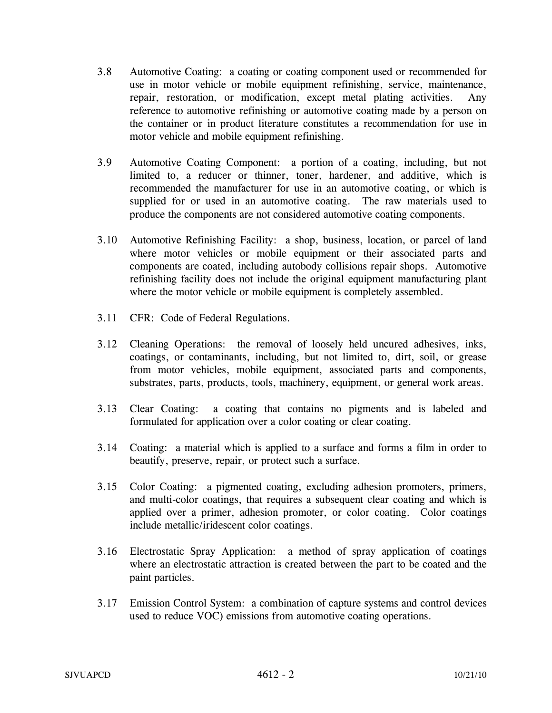- 3.8 Automotive Coating: a coating or coating component used or recommended for use in motor vehicle or mobile equipment refinishing, service, maintenance, repair, restoration, or modification, except metal plating activities. Any reference to automotive refinishing or automotive coating made by a person on the container or in product literature constitutes a recommendation for use in motor vehicle and mobile equipment refinishing.
- 3.9 Automotive Coating Component: a portion of a coating, including, but not limited to, a reducer or thinner, toner, hardener, and additive, which is recommended the manufacturer for use in an automotive coating, or which is supplied for or used in an automotive coating. The raw materials used to produce the components are not considered automotive coating components.
- 3.10 Automotive Refinishing Facility: a shop, business, location, or parcel of land where motor vehicles or mobile equipment or their associated parts and components are coated, including autobody collisions repair shops. Automotive refinishing facility does not include the original equipment manufacturing plant where the motor vehicle or mobile equipment is completely assembled.
- 3.11 CFR: Code of Federal Regulations.
- 3.12 Cleaning Operations: the removal of loosely held uncured adhesives, inks, coatings, or contaminants, including, but not limited to, dirt, soil, or grease from motor vehicles, mobile equipment, associated parts and components, substrates, parts, products, tools, machinery, equipment, or general work areas.
- 3.13 Clear Coating: a coating that contains no pigments and is labeled and formulated for application over a color coating or clear coating.
- 3.14 Coating: a material which is applied to a surface and forms a film in order to beautify, preserve, repair, or protect such a surface.
- 3.15 Color Coating: a pigmented coating, excluding adhesion promoters, primers, and multi-color coatings, that requires a subsequent clear coating and which is applied over a primer, adhesion promoter, or color coating. Color coatings include metallic/iridescent color coatings.
- 3.16 Electrostatic Spray Application: a method of spray application of coatings where an electrostatic attraction is created between the part to be coated and the paint particles.
- 3.17 Emission Control System: a combination of capture systems and control devices used to reduce VOC) emissions from automotive coating operations.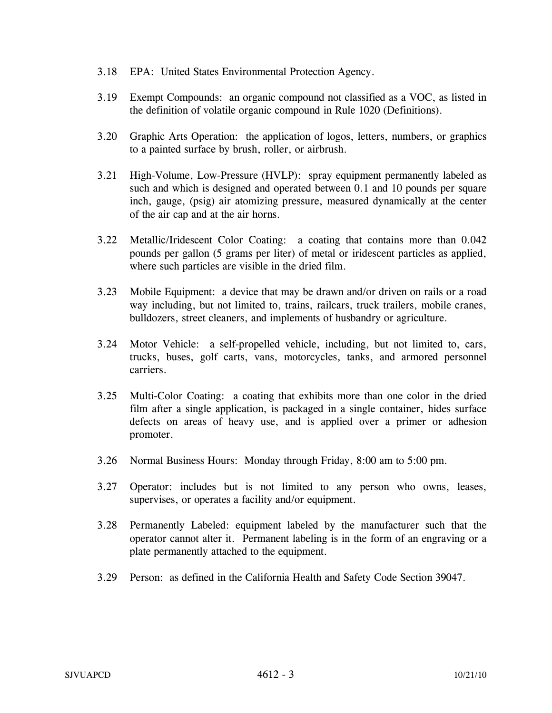- 3.18 EPA: United States Environmental Protection Agency.
- 3.19 Exempt Compounds: an organic compound not classified as a VOC, as listed in the definition of volatile organic compound in Rule 1020 (Definitions).
- 3.20 Graphic Arts Operation: the application of logos, letters, numbers, or graphics to a painted surface by brush, roller, or airbrush.
- 3.21 High-Volume, Low-Pressure (HVLP): spray equipment permanently labeled as such and which is designed and operated between 0.1 and 10 pounds per square inch, gauge, (psig) air atomizing pressure, measured dynamically at the center of the air cap and at the air horns.
- 3.22 Metallic/Iridescent Color Coating: a coating that contains more than 0.042 pounds per gallon (5 grams per liter) of metal or iridescent particles as applied, where such particles are visible in the dried film.
- 3.23 Mobile Equipment: a device that may be drawn and/or driven on rails or a road way including, but not limited to, trains, railcars, truck trailers, mobile cranes, bulldozers, street cleaners, and implements of husbandry or agriculture.
- 3.24 Motor Vehicle: a self-propelled vehicle, including, but not limited to, cars, trucks, buses, golf carts, vans, motorcycles, tanks, and armored personnel carriers.
- 3.25 Multi-Color Coating: a coating that exhibits more than one color in the dried film after a single application, is packaged in a single container, hides surface defects on areas of heavy use, and is applied over a primer or adhesion promoter.
- 3.26 Normal Business Hours: Monday through Friday, 8:00 am to 5:00 pm.
- 3.27 Operator: includes but is not limited to any person who owns, leases, supervises, or operates a facility and/or equipment.
- 3.28 Permanently Labeled: equipment labeled by the manufacturer such that the operator cannot alter it. Permanent labeling is in the form of an engraving or a plate permanently attached to the equipment.
- 3.29 Person: as defined in the California Health and Safety Code Section 39047.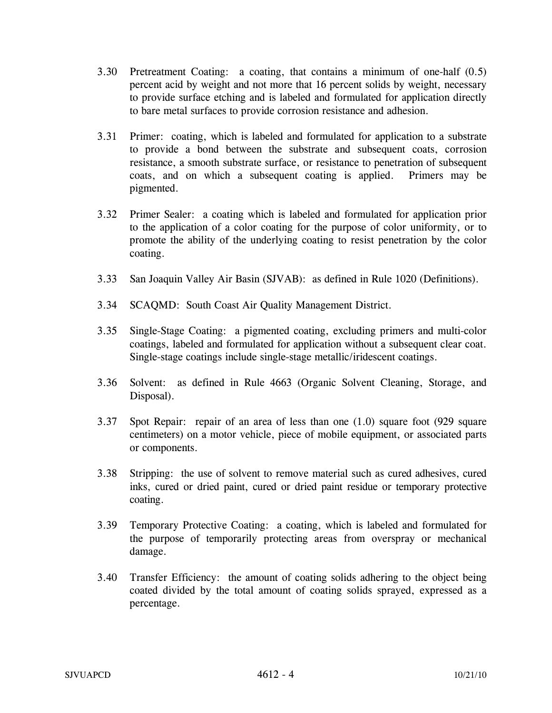- 3.30 Pretreatment Coating: a coating, that contains a minimum of one-half (0.5) percent acid by weight and not more that 16 percent solids by weight, necessary to provide surface etching and is labeled and formulated for application directly to bare metal surfaces to provide corrosion resistance and adhesion.
- 3.31 Primer: coating, which is labeled and formulated for application to a substrate to provide a bond between the substrate and subsequent coats, corrosion resistance, a smooth substrate surface, or resistance to penetration of subsequent coats, and on which a subsequent coating is applied. Primers may be pigmented.
- 3.32 Primer Sealer: a coating which is labeled and formulated for application prior to the application of a color coating for the purpose of color uniformity, or to promote the ability of the underlying coating to resist penetration by the color coating.
- 3.33 San Joaquin Valley Air Basin (SJVAB): as defined in Rule 1020 (Definitions).
- 3.34 SCAQMD: South Coast Air Quality Management District.
- 3.35 Single-Stage Coating: a pigmented coating, excluding primers and multi-color coatings, labeled and formulated for application without a subsequent clear coat. Single-stage coatings include single-stage metallic/iridescent coatings.
- 3.36 Solvent: as defined in Rule 4663 (Organic Solvent Cleaning, Storage, and Disposal).
- 3.37 Spot Repair: repair of an area of less than one (1.0) square foot (929 square centimeters) on a motor vehicle, piece of mobile equipment, or associated parts or components.
- 3.38 Stripping: the use of solvent to remove material such as cured adhesives, cured inks, cured or dried paint, cured or dried paint residue or temporary protective coating.
- 3.39 Temporary Protective Coating: a coating, which is labeled and formulated for the purpose of temporarily protecting areas from overspray or mechanical damage.
- 3.40 Transfer Efficiency: the amount of coating solids adhering to the object being coated divided by the total amount of coating solids sprayed, expressed as a percentage.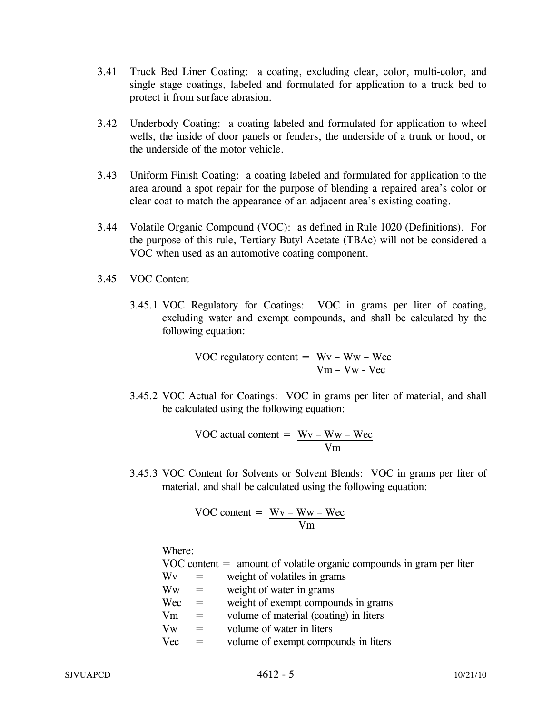- 3.41 Truck Bed Liner Coating: a coating, excluding clear, color, multi-color, and single stage coatings, labeled and formulated for application to a truck bed to protect it from surface abrasion.
- 3.42 Underbody Coating: a coating labeled and formulated for application to wheel wells, the inside of door panels or fenders, the underside of a trunk or hood, or the underside of the motor vehicle.
- 3.43 Uniform Finish Coating: a coating labeled and formulated for application to the area around a spot repair for the purpose of blending a repaired area's color or clear coat to match the appearance of an adjacent area's existing coating.
- 3.44 Volatile Organic Compound (VOC): as defined in Rule 1020 (Definitions). For the purpose of this rule, Tertiary Butyl Acetate (TBAc) will not be considered a VOC when used as an automotive coating component.
- 3.45 VOC Content
	- 3.45.1 VOC Regulatory for Coatings: VOC in grams per liter of coating, excluding water and exempt compounds, and shall be calculated by the following equation:

VOC regulatory content = 
$$
\frac{Wv - Ww - Wec}{Vm - Vw - Vec}
$$

3.45.2 VOC Actual for Coatings: VOC in grams per liter of material, and shall be calculated using the following equation:

VOC actual content = 
$$
\frac{Wv - Ww - Wec}{Vm}
$$

3.45.3 VOC Content for Solvents or Solvent Blends: VOC in grams per liter of material, and shall be calculated using the following equation:

VOC content = 
$$
\frac{Wv - Ww - Wec}{Vm}
$$

Where:

 $VOC content = amount of volatile organic compounds in gram per liter$ 

- $Wv =$  weight of volatiles in grams
- $\text{Ww} = \text{weight of water in grams}$
- $Wec = weight of the example compounds in grams$
- $Vm = volume of material (coating) in liters$
- $Vw =$  volume of water in liters
- Vec = volume of exempt compounds in liters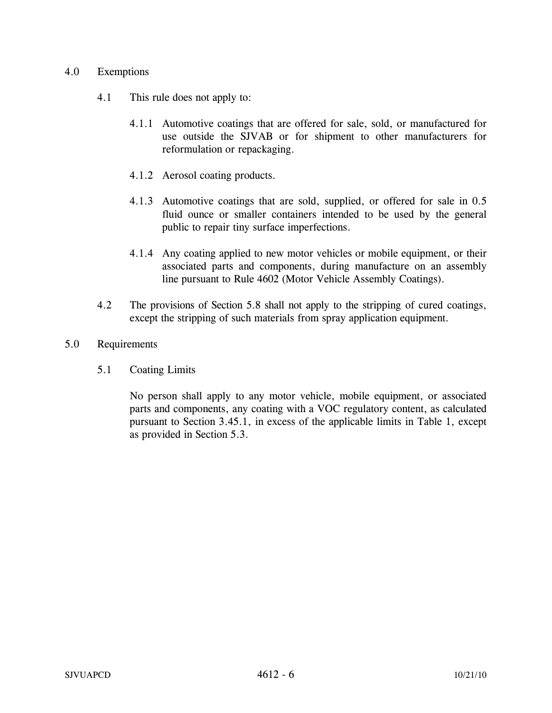## 4.0 Exemptions

- 4.1 This rule does not apply to:
	- 4.1.1 Automotive coatings that are offered for sale, sold, or manufactured for use outside the SJVAB or for shipment to other manufacturers for reformulation or repackaging.
	- 4.1.2 Aerosol coating products.
	- 4.1.3 Automotive coatings that are sold, supplied, or offered for sale in 0.5 fluid ounce or smaller containers intended to be used by the general public to repair tiny surface imperfections.
	- 4.1.4 Any coating applied to new motor vehicles or mobile equipment, or their associated parts and components, during manufacture on an assembly line pursuant to Rule 4602 (Motor Vehicle Assembly Coatings).
- 4.2 The provisions of Section 5.8 shall not apply to the stripping of cured coatings, except the stripping of such materials from spray application equipment.

# 5.0 Requirements

5.1 Coating Limits

No person shall apply to any motor vehicle, mobile equipment, or associated parts and components, any coating with a VOC regulatory content, as calculated pursuant to Section 3.45.1, in excess of the applicable limits in Table 1, except as provided in Section 5.3.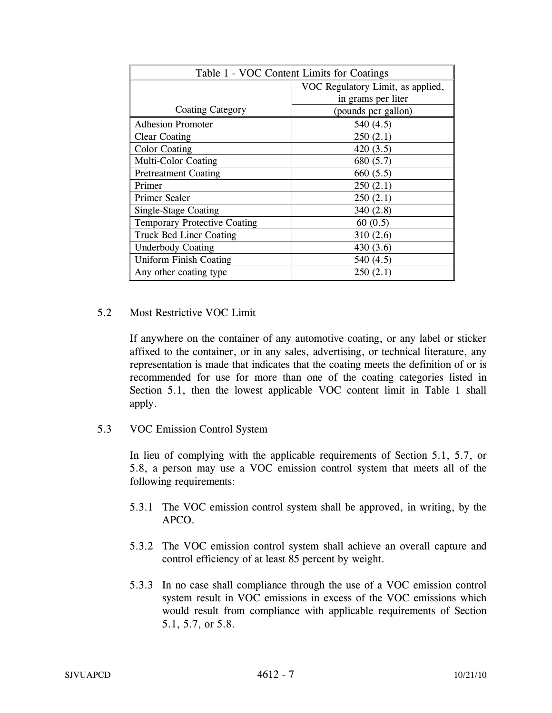| Table 1 - VOC Content Limits for Coatings |                                   |  |
|-------------------------------------------|-----------------------------------|--|
|                                           | VOC Regulatory Limit, as applied, |  |
|                                           | in grams per liter                |  |
| <b>Coating Category</b>                   | (pounds per gallon)               |  |
| <b>Adhesion Promoter</b>                  | 540 $(4.5)$                       |  |
| <b>Clear Coating</b>                      | 250(2.1)                          |  |
| <b>Color Coating</b>                      | 420(3.5)                          |  |
| <b>Multi-Color Coating</b>                | 680(5.7)                          |  |
| <b>Pretreatment Coating</b>               | 660(5.5)                          |  |
| Primer                                    | 250(2.1)                          |  |
| Primer Sealer                             | 250(2.1)                          |  |
| Single-Stage Coating                      | 340(2.8)                          |  |
| <b>Temporary Protective Coating</b>       | 60(0.5)                           |  |
| <b>Truck Bed Liner Coating</b>            | 310(2.6)                          |  |
| <b>Underbody Coating</b>                  | 430 $(3.6)$                       |  |
| <b>Uniform Finish Coating</b>             | 540 $(4.5)$                       |  |
| Any other coating type                    | 250(2.1)                          |  |

# 5.2 Most Restrictive VOC Limit

If anywhere on the container of any automotive coating, or any label or sticker affixed to the container, or in any sales, advertising, or technical literature, any representation is made that indicates that the coating meets the definition of or is recommended for use for more than one of the coating categories listed in Section 5.1, then the lowest applicable VOC content limit in Table 1 shall apply.

5.3 VOC Emission Control System

In lieu of complying with the applicable requirements of Section 5.1, 5.7, or 5.8, a person may use a VOC emission control system that meets all of the following requirements:

- 5.3.1 The VOC emission control system shall be approved, in writing, by the APCO.
- 5.3.2 The VOC emission control system shall achieve an overall capture and control efficiency of at least 85 percent by weight.
- 5.3.3 In no case shall compliance through the use of a VOC emission control system result in VOC emissions in excess of the VOC emissions which would result from compliance with applicable requirements of Section 5.1, 5.7, or 5.8.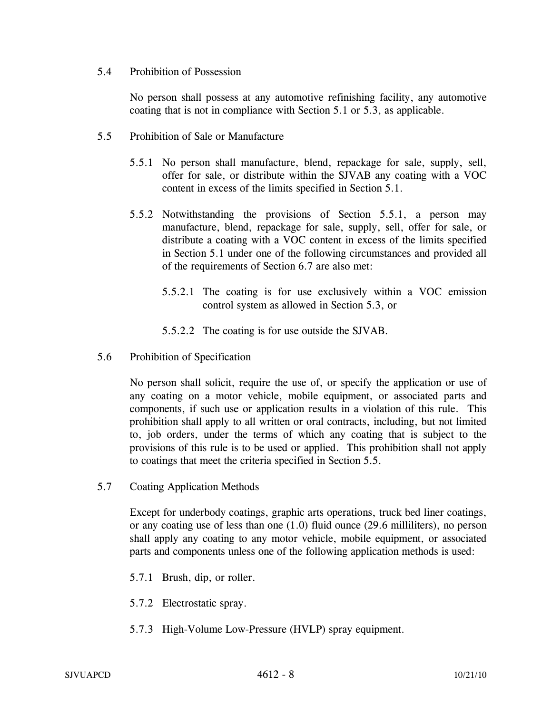5.4 Prohibition of Possession

No person shall possess at any automotive refinishing facility, any automotive coating that is not in compliance with Section 5.1 or 5.3, as applicable.

- 5.5 Prohibition of Sale or Manufacture
	- 5.5.1 No person shall manufacture, blend, repackage for sale, supply, sell, offer for sale, or distribute within the SJVAB any coating with a VOC content in excess of the limits specified in Section 5.1.
	- 5.5.2 Notwithstanding the provisions of Section 5.5.1, a person may manufacture, blend, repackage for sale, supply, sell, offer for sale, or distribute a coating with a VOC content in excess of the limits specified in Section 5.1 under one of the following circumstances and provided all of the requirements of Section 6.7 are also met:
		- 5.5.2.1 The coating is for use exclusively within a VOC emission control system as allowed in Section 5.3, or
		- 5.5.2.2 The coating is for use outside the SJVAB.
- 5.6 Prohibition of Specification

No person shall solicit, require the use of, or specify the application or use of any coating on a motor vehicle, mobile equipment, or associated parts and components, if such use or application results in a violation of this rule. This prohibition shall apply to all written or oral contracts, including, but not limited to, job orders, under the terms of which any coating that is subject to the provisions of this rule is to be used or applied. This prohibition shall not apply to coatings that meet the criteria specified in Section 5.5.

5.7 Coating Application Methods

Except for underbody coatings, graphic arts operations, truck bed liner coatings, or any coating use of less than one (1.0) fluid ounce (29.6 milliliters), no person shall apply any coating to any motor vehicle, mobile equipment, or associated parts and components unless one of the following application methods is used:

- 5.7.1 Brush, dip, or roller.
- 5.7.2 Electrostatic spray.
- 5.7.3 High-Volume Low-Pressure (HVLP) spray equipment.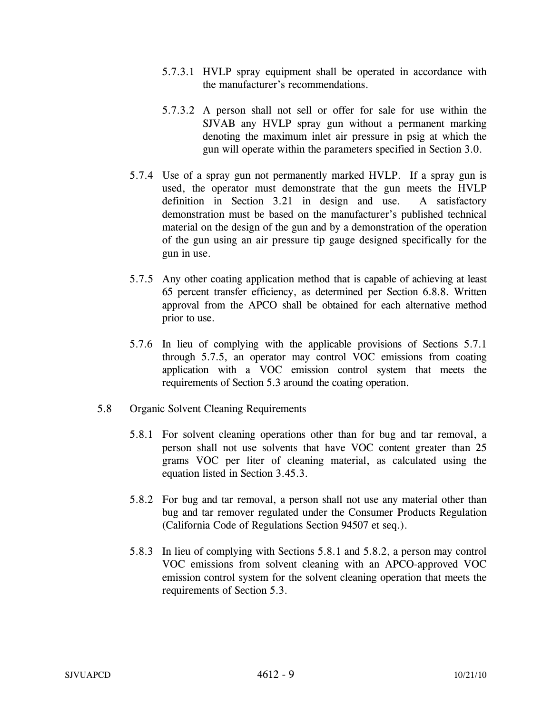- 5.7.3.1 HVLP spray equipment shall be operated in accordance with the manufacturer's recommendations.
- 5.7.3.2 A person shall not sell or offer for sale for use within the SJVAB any HVLP spray gun without a permanent marking denoting the maximum inlet air pressure in psig at which the gun will operate within the parameters specified in Section 3.0.
- 5.7.4 Use of a spray gun not permanently marked HVLP. If a spray gun is used, the operator must demonstrate that the gun meets the HVLP definition in Section 3.21 in design and use. A satisfactory demonstration must be based on the manufacturer's published technical material on the design of the gun and by a demonstration of the operation of the gun using an air pressure tip gauge designed specifically for the gun in use.
- 5.7.5 Any other coating application method that is capable of achieving at least 65 percent transfer efficiency, as determined per Section 6.8.8. Written approval from the APCO shall be obtained for each alternative method prior to use.
- 5.7.6 In lieu of complying with the applicable provisions of Sections 5.7.1 through 5.7.5, an operator may control VOC emissions from coating application with a VOC emission control system that meets the requirements of Section 5.3 around the coating operation.
- 5.8 Organic Solvent Cleaning Requirements
	- 5.8.1 For solvent cleaning operations other than for bug and tar removal, a person shall not use solvents that have VOC content greater than 25 grams VOC per liter of cleaning material, as calculated using the equation listed in Section 3.45.3.
	- 5.8.2 For bug and tar removal, a person shall not use any material other than bug and tar remover regulated under the Consumer Products Regulation (California Code of Regulations Section 94507 et seq.).
	- 5.8.3 In lieu of complying with Sections 5.8.1 and 5.8.2, a person may control VOC emissions from solvent cleaning with an APCO-approved VOC emission control system for the solvent cleaning operation that meets the requirements of Section 5.3.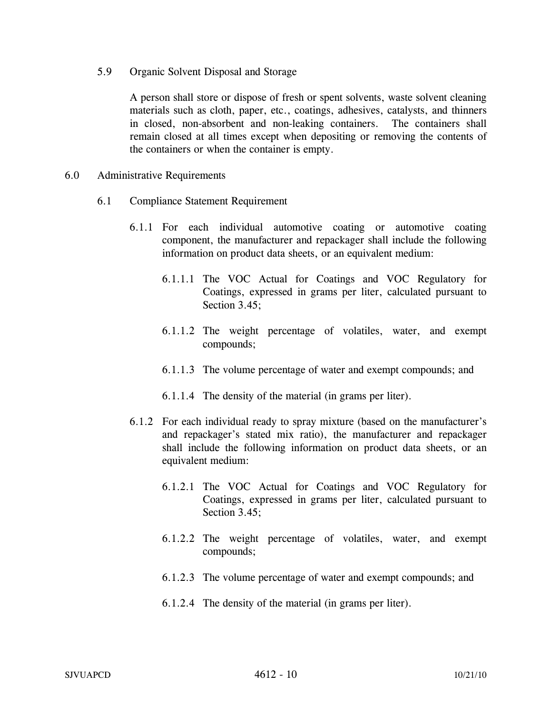5.9 Organic Solvent Disposal and Storage

A person shall store or dispose of fresh or spent solvents, waste solvent cleaning materials such as cloth, paper, etc., coatings, adhesives, catalysts, and thinners in closed, non-absorbent and non-leaking containers. The containers shall remain closed at all times except when depositing or removing the contents of the containers or when the container is empty.

- 6.0 Administrative Requirements
	- 6.1 Compliance Statement Requirement
		- 6.1.1 For each individual automotive coating or automotive coating component, the manufacturer and repackager shall include the following information on product data sheets, or an equivalent medium:
			- 6.1.1.1 The VOC Actual for Coatings and VOC Regulatory for Coatings, expressed in grams per liter, calculated pursuant to Section 3.45;
			- 6.1.1.2 The weight percentage of volatiles, water, and exempt compounds;
			- 6.1.1.3 The volume percentage of water and exempt compounds; and
			- 6.1.1.4 The density of the material (in grams per liter).
		- 6.1.2 For each individual ready to spray mixture (based on the manufacturer's and repackager's stated mix ratio), the manufacturer and repackager shall include the following information on product data sheets, or an equivalent medium:
			- 6.1.2.1 The VOC Actual for Coatings and VOC Regulatory for Coatings, expressed in grams per liter, calculated pursuant to Section 3.45:
			- 6.1.2.2 The weight percentage of volatiles, water, and exempt compounds;
			- 6.1.2.3 The volume percentage of water and exempt compounds; and
			- 6.1.2.4 The density of the material (in grams per liter).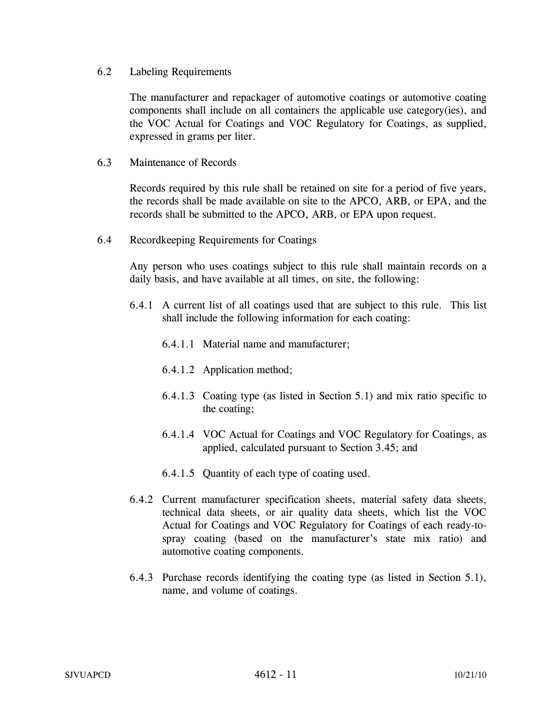## 6.2 Labeling Requirements

The manufacturer and repackager of automotive coatings or automotive coating components shall include on all containers the applicable use category(ies), and the VOC Actual for Coatings and VOC Regulatory for Coatings, as supplied, expressed in grams per liter.

## 6.3 Maintenance of Records

Records required by this rule shall be retained on site for a period of five years, the records shall be made available on site to the APCO, ARB, or EPA, and the records shall be submitted to the APCO, ARB, or EPA upon request.

6.4 Recordkeeping Requirements for Coatings

Any person who uses coatings subject to this rule shall maintain records on a daily basis, and have available at all times, on site, the following:

- 6.4.1 A current list of all coatings used that are subject to this rule. This list shall include the following information for each coating:
	- 6.4.1.1 Material name and manufacturer;
	- 6.4.1.2 Application method;
	- 6.4.1.3 Coating type (as listed in Section 5.1) and mix ratio specific to the coating;
	- 6.4.1.4 VOC Actual for Coatings and VOC Regulatory for Coatings, as applied, calculated pursuant to Section 3.45; and
	- 6.4.1.5 Quantity of each type of coating used.
- 6.4.2 Current manufacturer specification sheets, material safety data sheets, technical data sheets, or air quality data sheets, which list the VOC Actual for Coatings and VOC Regulatory for Coatings of each ready-tospray coating (based on the manufacturer's state mix ratio) and automotive coating components.
- 6.4.3 Purchase records identifying the coating type (as listed in Section 5.1), name, and volume of coatings.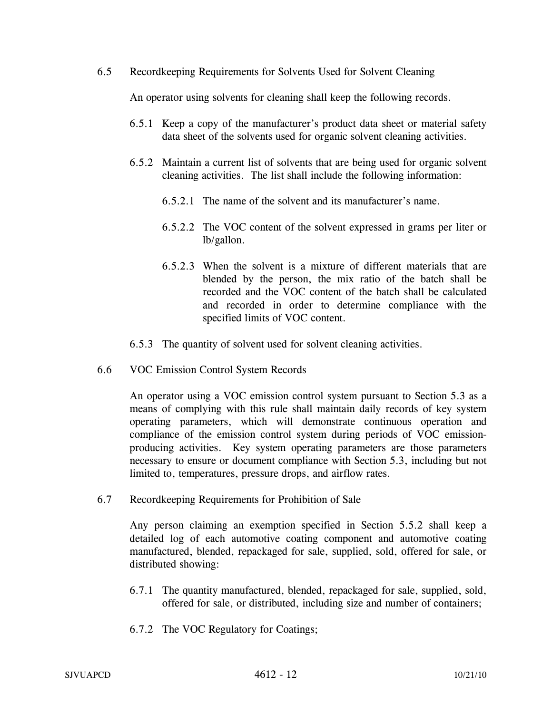6.5 Recordkeeping Requirements for Solvents Used for Solvent Cleaning

An operator using solvents for cleaning shall keep the following records.

- 6.5.1 Keep a copy of the manufacturer's product data sheet or material safety data sheet of the solvents used for organic solvent cleaning activities.
- 6.5.2 Maintain a current list of solvents that are being used for organic solvent cleaning activities. The list shall include the following information:
	- 6.5.2.1 The name of the solvent and its manufacturer's name.
	- 6.5.2.2 The VOC content of the solvent expressed in grams per liter or lb/gallon.
	- 6.5.2.3 When the solvent is a mixture of different materials that are blended by the person, the mix ratio of the batch shall be recorded and the VOC content of the batch shall be calculated and recorded in order to determine compliance with the specified limits of VOC content.
- 6.5.3 The quantity of solvent used for solvent cleaning activities.
- 6.6 VOC Emission Control System Records

An operator using a VOC emission control system pursuant to Section 5.3 as a means of complying with this rule shall maintain daily records of key system operating parameters, which will demonstrate continuous operation and compliance of the emission control system during periods of VOC emissionproducing activities. Key system operating parameters are those parameters necessary to ensure or document compliance with Section 5.3, including but not limited to, temperatures, pressure drops, and airflow rates.

6.7 Recordkeeping Requirements for Prohibition of Sale

Any person claiming an exemption specified in Section 5.5.2 shall keep a detailed log of each automotive coating component and automotive coating manufactured, blended, repackaged for sale, supplied, sold, offered for sale, or distributed showing:

- 6.7.1 The quantity manufactured, blended, repackaged for sale, supplied, sold, offered for sale, or distributed, including size and number of containers;
- 6.7.2 The VOC Regulatory for Coatings;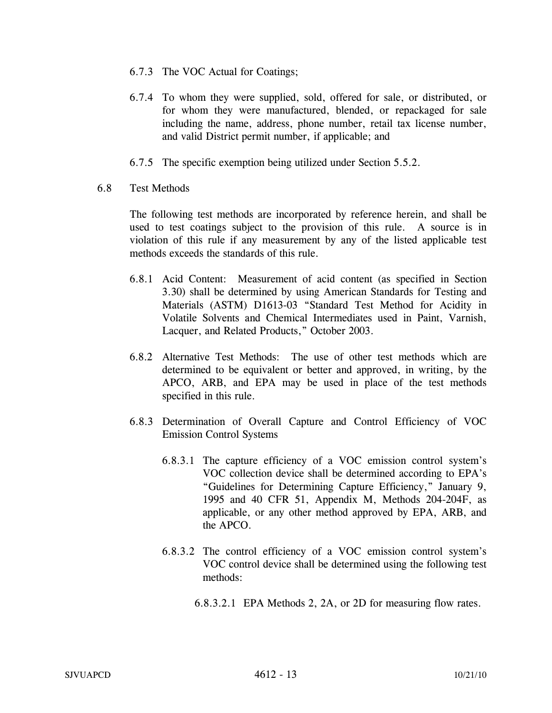- 6.7.3 The VOC Actual for Coatings;
- 6.7.4 To whom they were supplied, sold, offered for sale, or distributed, or for whom they were manufactured, blended, or repackaged for sale including the name, address, phone number, retail tax license number, and valid District permit number, if applicable; and
- 6.7.5 The specific exemption being utilized under Section 5.5.2.
- 6.8 Test Methods

The following test methods are incorporated by reference herein, and shall be used to test coatings subject to the provision of this rule. A source is in violation of this rule if any measurement by any of the listed applicable test methods exceeds the standards of this rule.

- 6.8.1 Acid Content: Measurement of acid content (as specified in Section 3.30) shall be determined by using American Standards for Testing and Materials (ASTM) D1613-03 "Standard Test Method for Acidity in Volatile Solvents and Chemical Intermediates used in Paint, Varnish, Lacquer, and Related Products," October 2003.
- 6.8.2 Alternative Test Methods: The use of other test methods which are determined to be equivalent or better and approved, in writing, by the APCO, ARB, and EPA may be used in place of the test methods specified in this rule.
- 6.8.3 Determination of Overall Capture and Control Efficiency of VOC Emission Control Systems
	- 6.8.3.1 The capture efficiency of a VOC emission control system's VOC collection device shall be determined according to EPA's "Guidelines for Determining Capture Efficiency," January 9, 1995 and 40 CFR 51, Appendix M, Methods 204-204F, as applicable, or any other method approved by EPA, ARB, and the APCO.
	- 6.8.3.2 The control efficiency of a VOC emission control system's VOC control device shall be determined using the following test methods:
		- 6.8.3.2.1 EPA Methods 2, 2A, or 2D for measuring flow rates.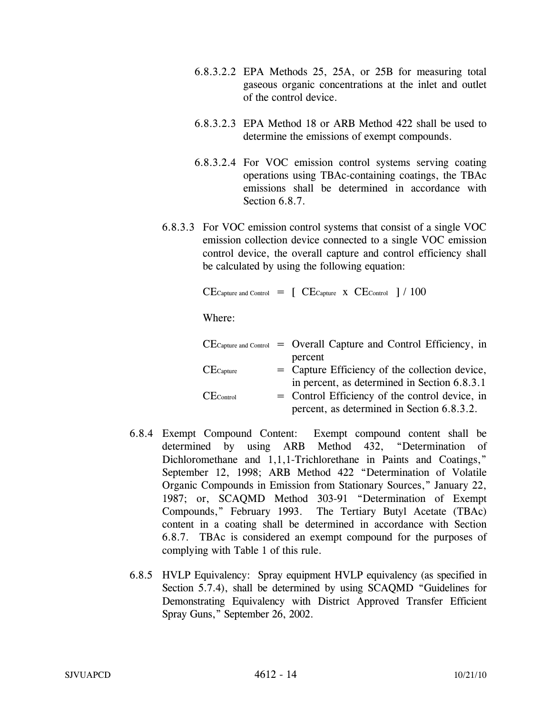- 6.8.3.2.2 EPA Methods 25, 25A, or 25B for measuring total gaseous organic concentrations at the inlet and outlet of the control device.
- 6.8.3.2.3 EPA Method 18 or ARB Method 422 shall be used to determine the emissions of exempt compounds.
- 6.8.3.2.4 For VOC emission control systems serving coating operations using TBAc-containing coatings, the TBAc emissions shall be determined in accordance with Section 6.8.7.
- 6.8.3.3 For VOC emission control systems that consist of a single VOC emission collection device connected to a single VOC emission control device, the overall capture and control efficiency shall be calculated by using the following equation:

 $CE$ Capture and Control  $=$   $\left[$   $CE$ Capture  $\left[$   $\times$   $CE$ Control  $\left[$   $\right]$   $\right/$  100

Where:

|                | $CE$ Capture and Control = Overall Capture and Control Efficiency, in |
|----------------|-----------------------------------------------------------------------|
|                | percent                                                               |
| $CE$ Capture   | = Capture Efficiency of the collection device,                        |
|                | in percent, as determined in Section 6.8.3.1                          |
| $CE_{Control}$ | = Control Efficiency of the control device, in                        |
|                | percent, as determined in Section 6.8.3.2.                            |

- 6.8.4 Exempt Compound Content: Exempt compound content shall be determined by using ARB Method 432, "Determination of Dichloromethane and 1,1,1-Trichlorethane in Paints and Coatings," September 12, 1998; ARB Method 422 "Determination of Volatile Organic Compounds in Emission from Stationary Sources," January 22, 1987; or, SCAQMD Method 303-91 "Determination of Exempt Compounds," February 1993. The Tertiary Butyl Acetate (TBAc) content in a coating shall be determined in accordance with Section 6.8.7. TBAc is considered an exempt compound for the purposes of complying with Table 1 of this rule.
- 6.8.5 HVLP Equivalency: Spray equipment HVLP equivalency (as specified in Section 5.7.4), shall be determined by using SCAQMD "Guidelines for Demonstrating Equivalency with District Approved Transfer Efficient Spray Guns," September 26, 2002.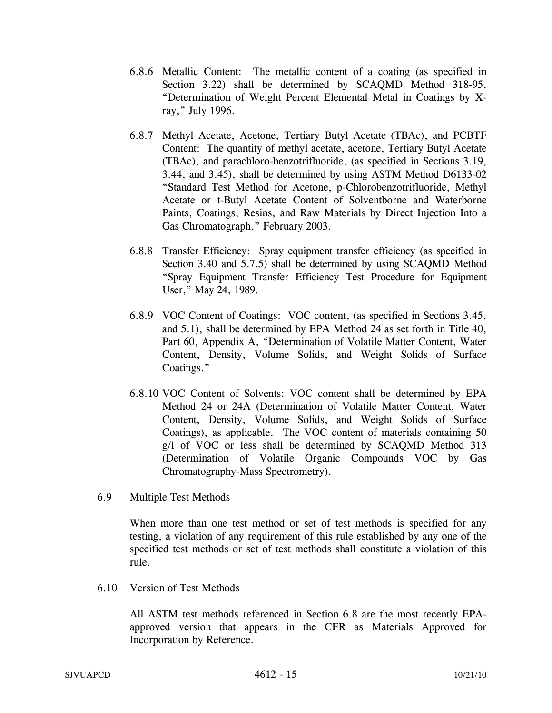- 6.8.6 Metallic Content: The metallic content of a coating (as specified in Section 3.22) shall be determined by SCAQMD Method 318-95, "Determination of Weight Percent Elemental Metal in Coatings by Xray," July 1996.
- 6.8.7 Methyl Acetate, Acetone, Tertiary Butyl Acetate (TBAc), and PCBTF Content: The quantity of methyl acetate, acetone, Tertiary Butyl Acetate (TBAc), and parachloro-benzotrifluoride, (as specified in Sections 3.19, 3.44, and 3.45), shall be determined by using ASTM Method D6133-02 "Standard Test Method for Acetone, p-Chlorobenzotrifluoride, Methyl Acetate or t-Butyl Acetate Content of Solventborne and Waterborne Paints, Coatings, Resins, and Raw Materials by Direct Injection Into a Gas Chromatograph," February 2003.
- 6.8.8 Transfer Efficiency: Spray equipment transfer efficiency (as specified in Section 3.40 and 5.7.5) shall be determined by using SCAQMD Method "Spray Equipment Transfer Efficiency Test Procedure for Equipment User," May 24, 1989.
- 6.8.9 VOC Content of Coatings: VOC content, (as specified in Sections 3.45, and 5.1), shall be determined by EPA Method 24 as set forth in Title 40, Part 60, Appendix A, "Determination of Volatile Matter Content, Water Content, Density, Volume Solids, and Weight Solids of Surface Coatings."
- 6.8.10 VOC Content of Solvents: VOC content shall be determined by EPA Method 24 or 24A (Determination of Volatile Matter Content, Water Content, Density, Volume Solids, and Weight Solids of Surface Coatings), as applicable. The VOC content of materials containing 50 g/l of VOC or less shall be determined by SCAQMD Method 313 (Determination of Volatile Organic Compounds VOC by Gas Chromatography-Mass Spectrometry).
- 6.9 Multiple Test Methods

When more than one test method or set of test methods is specified for any testing, a violation of any requirement of this rule established by any one of the specified test methods or set of test methods shall constitute a violation of this rule.

6.10 Version of Test Methods

All ASTM test methods referenced in Section 6.8 are the most recently EPAapproved version that appears in the CFR as Materials Approved for Incorporation by Reference.